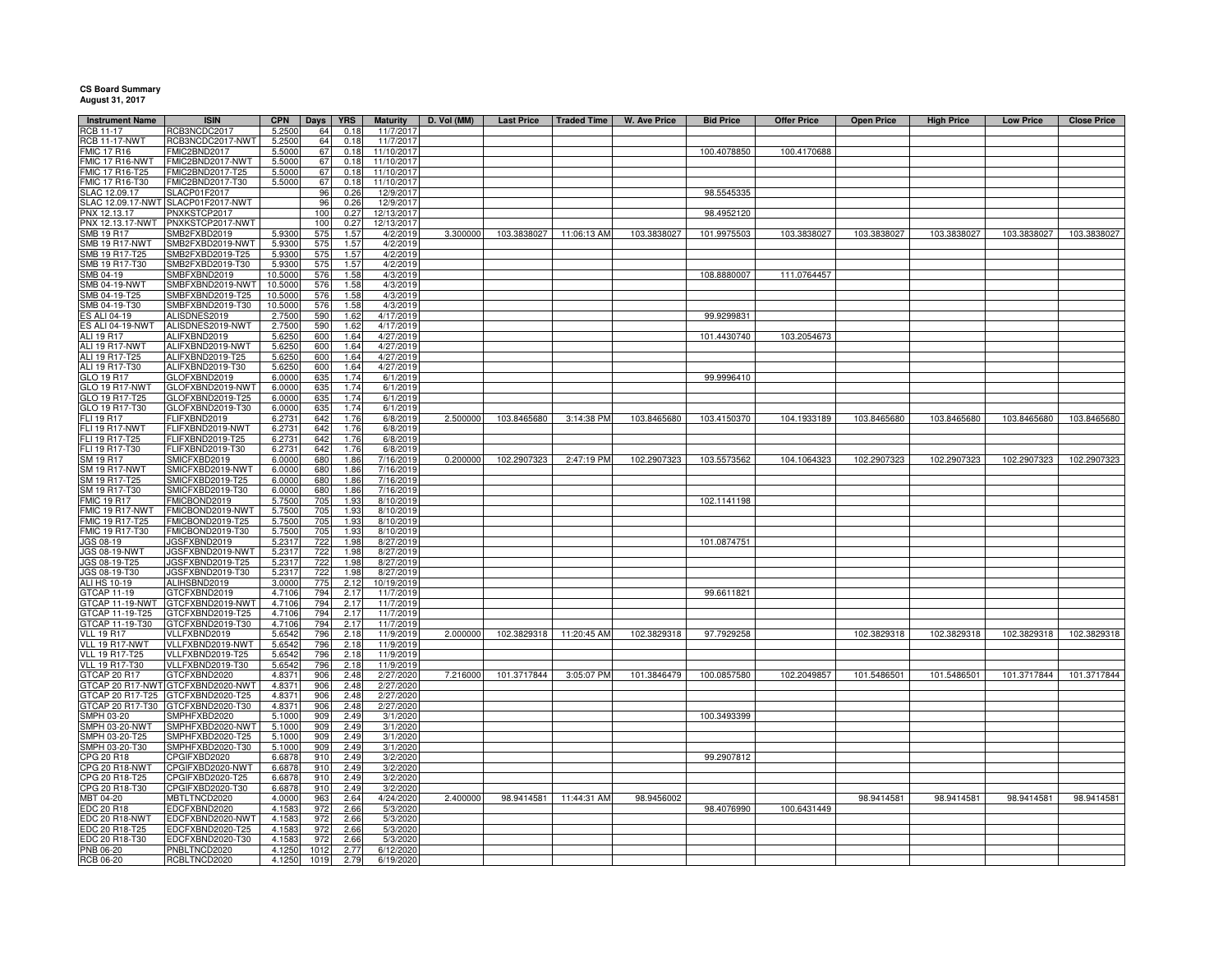## **CS Board Summary August 31, 2017**

| <b>Instrument Name</b>                | <b>ISIN</b>                          | <b>CPN</b>       |                 | <b>YRS</b>   | <b>Maturity</b>          | D. Vol (MM) | <b>Last Price</b> | <b>Traded Time</b>      | <b>W. Ave Price</b> | <b>Bid Price</b> | <b>Offer Price</b> | <b>Open Price</b> | <b>High Price</b> | <b>Low Price</b> | <b>Close Price</b> |
|---------------------------------------|--------------------------------------|------------------|-----------------|--------------|--------------------------|-------------|-------------------|-------------------------|---------------------|------------------|--------------------|-------------------|-------------------|------------------|--------------------|
| <b>RCB 11-17</b>                      | RCB3NCDC2017                         | 5.2500           | Days<br>64      | 0.18         | 11/7/201                 |             |                   |                         |                     |                  |                    |                   |                   |                  |                    |
| <b>RCB 11-17-NWT</b>                  | RCB3NCDC2017-NWT                     | 5.2500           | 64              | 0.18         | 11/7/2017                |             |                   |                         |                     |                  |                    |                   |                   |                  |                    |
| <b>MIC 17 R16</b>                     | FMIC2BND2017                         | 5.5000           | 67              | 0.18         | 11/10/2017               |             |                   |                         |                     | 100.4078850      | 100.4170688        |                   |                   |                  |                    |
| MIC 17 R16-NWT                        | FMIC2BND2017-NWT                     | 5.5000           | 67              | 0.18         | 11/10/2017               |             |                   |                         |                     |                  |                    |                   |                   |                  |                    |
| MIC 17 R16-T25                        | FMIC2BND2017-T25                     | 5.5000           | 67              | 0.18         | 11/10/2017               |             |                   |                         |                     |                  |                    |                   |                   |                  |                    |
| FMIC 17 R16-T30                       | FMIC2BND2017-T30                     | 5.5000           | 67              | 0.18         | 11/10/2017               |             |                   |                         |                     |                  |                    |                   |                   |                  |                    |
| SLAC 12.09.17                         | SLACP01F2017                         |                  | 96              | 0.26         | 12/9/2017                |             |                   |                         |                     | 98.5545335       |                    |                   |                   |                  |                    |
|                                       | SLAC 12.09.17-NWT SLACP01F2017-NWT   |                  | 96<br>100       | 0.26<br>0.27 | 12/9/2017                |             |                   |                         |                     |                  |                    |                   |                   |                  |                    |
| PNX 12.13.17<br>PNX 12.13.17-NWT      | PNXKSTCP2017<br>PNXKSTCP2017-NWT     |                  | 100             | 0.27         | 12/13/2017<br>12/13/2017 |             |                   |                         |                     | 98.4952120       |                    |                   |                   |                  |                    |
| SMB 19 R17                            | MB2FXBD2019                          | 5.9300           | 575             | 1.57         | 4/2/2019                 | 3.300000    |                   | 103.3838027 11:06:13 AM | 103.3838027         | 101.9975503      | 103.3838027        | 103.3838027       | 103.3838027       | 103.3838027      | 103.3838027        |
| SMB 19 R17-NWT                        | SMB2FXBD2019-NWT                     | 5.9300           | 575             | 1.57         | 4/2/2019                 |             |                   |                         |                     |                  |                    |                   |                   |                  |                    |
| SMB 19 R17-T25                        | MB2FXBD2019-T25                      | 5.9300           | 575             | 1.57         | 4/2/2019                 |             |                   |                         |                     |                  |                    |                   |                   |                  |                    |
| SMB 19 R17-T30                        | MB2FXBD2019-T30                      | 5.9300           | 575             | 1.57         | 4/2/2019                 |             |                   |                         |                     |                  |                    |                   |                   |                  |                    |
| SMB 04-19                             | SMBFXBND2019                         | 10.5000          | 576             | 1.58         | 4/3/2019                 |             |                   |                         |                     | 108.8880007      | 111.0764457        |                   |                   |                  |                    |
| <b>SMB 04-19-NWT</b>                  | SMBFXBND2019-NWT                     | 10,5000          | 576             | 1.58         | 4/3/2019                 |             |                   |                         |                     |                  |                    |                   |                   |                  |                    |
| SMB 04-19-T25                         | SMBFXBND2019-T25                     | 10.5000          | 576             | 1.58         | 4/3/2019                 |             |                   |                         |                     |                  |                    |                   |                   |                  |                    |
| SMB 04-19-T30<br>S ALI 04-19          | SMBFXBND2019-T30                     | 10.5000          | 576<br>590      | 1.58<br>1.62 | 4/3/2019<br>4/17/2019    |             |                   |                         |                     | 99.9299831       |                    |                   |                   |                  |                    |
| ES ALI 04-19-NWT                      | ALISDNES2019<br>ALISDNES2019-NWT     | 2.7500<br>2.7500 | 590             | 1.62         | 4/17/2019                |             |                   |                         |                     |                  |                    |                   |                   |                  |                    |
| ALI 19 R17                            | ALIFXBND2019                         | 5.6250           | 600             | 1.64         | 4/27/2019                |             |                   |                         |                     | 101.4430740      | 103.2054673        |                   |                   |                  |                    |
| ALI 19 R17-NWT                        | ALIFXBND2019-NWT                     | 5.6250           | 600             | 1.64         | 4/27/2019                |             |                   |                         |                     |                  |                    |                   |                   |                  |                    |
| ALI 19 R17-T25                        | ALIFXBND2019-T25                     | 5.6250           | 600             | 1.64         | 4/27/2019                |             |                   |                         |                     |                  |                    |                   |                   |                  |                    |
| ALI 19 R17-T30                        | ALIFXBND2019-T30                     | 5.6250           | 600             | 1.64         | 4/27/2019                |             |                   |                         |                     |                  |                    |                   |                   |                  |                    |
| GLO 19 R17                            | GLOFXBND2019                         | 6.0000           | 635             | 1.74         | 6/1/2019                 |             |                   |                         |                     | 99.9996410       |                    |                   |                   |                  |                    |
| <b>GLO 19 R17-NWT</b>                 | GLOFXBND2019-NWT                     | 6.0000           | 635             | 1.74         | 6/1/2019                 |             |                   |                         |                     |                  |                    |                   |                   |                  |                    |
| GLO 19 R17-T25                        | GLOFXBND2019-T25                     | 6.0000           | 635             | 1.74         | 6/1/2019                 |             |                   |                         |                     |                  |                    |                   |                   |                  |                    |
| GLO 19 R17-T30                        | GLOFXBND2019-T30                     | 6.0000           | 635             | 1.74         | 6/1/2019                 |             |                   |                         |                     |                  |                    | 103.8465680       |                   |                  |                    |
| FLI 19 R17<br><b>FLI 19 R17-NWT</b>   | FLIFXBND2019<br>FLIFXBND2019-NWT     | 6.2731<br>6.2731 | 642<br>642      | 1.76<br>1.76 | 6/8/2019<br>6/8/2019     | 2.500000    | 103.8465680       | 3:14:38 PM              | 103.8465680         | 103.4150370      | 104.1933189        |                   | 103.8465680       | 103.8465680      | 103.8465680        |
| FLI 19 R17-T25                        | FLIFXBND2019-T25                     | 6.2731           | 642             | 1.76         | 6/8/2019                 |             |                   |                         |                     |                  |                    |                   |                   |                  |                    |
| FLI 19 R17-T30                        | FLIFXBND2019-T30                     | 6.2731           | 642             | 1.76         | 6/8/2019                 |             |                   |                         |                     |                  |                    |                   |                   |                  |                    |
| SM 19 R17                             | SMICFXBD2019                         | 6.000            | 680             | 1.86         | 7/16/2019                | 0.200000    | 102.2907323       | 2:47:19 PM              | 102.2907323         | 103.5573562      | 104.1064323        | 102.2907323       | 102.2907323       | 102.2907323      | 102.2907323        |
| <b>SM 19 R17-NWT</b>                  | SMICFXBD2019-NWT                     | 6.000            | 680             | 1.86         | 7/16/2019                |             |                   |                         |                     |                  |                    |                   |                   |                  |                    |
| SM 19 R17-T25                         | SMICFXBD2019-T25                     | 6.0000           | 680             | 1.86         | 7/16/2019                |             |                   |                         |                     |                  |                    |                   |                   |                  |                    |
| SM 19 R17-T30                         | SMICFXBD2019-T30                     | 6.000            | 680             | 1.86         | 7/16/2019                |             |                   |                         |                     |                  |                    |                   |                   |                  |                    |
| <b>FMIC 19 R17</b><br>FMIC 19 R17-NWT | FMICBOND2019<br>FMICBOND2019-NWT     | 5.7500<br>5.7500 | 705<br>705      | 1.93<br>1.93 | 8/10/2019<br>8/10/2019   |             |                   |                         |                     | 102.1141198      |                    |                   |                   |                  |                    |
| MIC 19 R17-T25                        | FMICBOND2019-T25                     | 5.7500           | 705             | 1.93         | 8/10/2019                |             |                   |                         |                     |                  |                    |                   |                   |                  |                    |
| FMIC 19 R17-T30                       | FMICBOND2019-T30                     | 5.7500           | 705             | 1.93         | 8/10/2019                |             |                   |                         |                     |                  |                    |                   |                   |                  |                    |
| JGS 08-19                             | JGSFXBND2019                         | 5.2317           | 722             | 1.98         | 8/27/2019                |             |                   |                         |                     | 101.0874751      |                    |                   |                   |                  |                    |
| JGS 08-19-NWT                         | JGSFXBND2019-NWT                     | 5.2317           | 722             | 1.98         | 8/27/2019                |             |                   |                         |                     |                  |                    |                   |                   |                  |                    |
| JGS 08-19-T25                         | JGSFXBND2019-T25                     | 5.2317           | 722             | 1.98         | 8/27/2019                |             |                   |                         |                     |                  |                    |                   |                   |                  |                    |
| JGS 08-19-T30                         | JGSFXBND2019-T30                     | 5.2317           | 722             | 1.98         | 8/27/2019                |             |                   |                         |                     |                  |                    |                   |                   |                  |                    |
| ALI HS 10-19                          | ALIHSBND2019                         | 3.0000           | 775             | 2.12         | 10/19/2019               |             |                   |                         |                     |                  |                    |                   |                   |                  |                    |
| GTCAP 11-19                           | GTCFXBND2019                         | 4.7106           | 794             | 2.17         | 11/7/2019                |             |                   |                         |                     | 99.6611821       |                    |                   |                   |                  |                    |
| GTCAP 11-19-NWT<br>GTCAP 11-19-T25    | GTCFXBND2019-NWT<br>GTCFXBND2019-T25 | 4.7106<br>4.7106 | 794<br>794      | 2.17<br>2.17 | 11/7/2019<br>11/7/2019   |             |                   |                         |                     |                  |                    |                   |                   |                  |                    |
| GTCAP 11-19-T30                       | GTCFXBND2019-T30                     | 4.7106           | 794             | 2.17         | 11/7/2019                |             |                   |                         |                     |                  |                    |                   |                   |                  |                    |
| <b>VLL 19 R17</b>                     | VLLFXBND2019                         | 5.6542           | 796             | 2.18         | 11/9/2019                | 2.000000    | 102.3829318       | 11:20:45 AM             | 102.3829318         | 97.7929258       |                    | 102.3829318       | 102.3829318       | 102.3829318      | 102.3829318        |
| VLL 19 R17-NWT                        | VLLFXBND2019-NWT                     | 5.6542           | 796             | 2.18         | 11/9/2019                |             |                   |                         |                     |                  |                    |                   |                   |                  |                    |
| <b>VLL 19 R17-T25</b>                 | VLLFXBND2019-T25                     | 5.6542           | 796             | 2.18         | 11/9/2019                |             |                   |                         |                     |                  |                    |                   |                   |                  |                    |
| <b>VLL 19 R17-T30</b>                 | VLLFXBND2019-T30                     | 5.6542           | 796             | 2.18         | 11/9/2019                |             |                   |                         |                     |                  |                    |                   |                   |                  |                    |
| GTCAP 20 R17                          | GTCFXBND2020                         | 4.8371           | 906             | 2.48         | 2/27/2020                | 7.216000    | 101.3717844       | 3:05:07 PM              | 101.3846479         | 100.0857580      | 102.2049857        | 101.5486501       | 101.5486501       | 101.3717844      | 101.3717844        |
| GTCAP 20 R17-NWT                      | GTCFXBND2020-NWT                     | 4.8371           | 906             | 2.48         | 2/27/2020                |             |                   |                         |                     |                  |                    |                   |                   |                  |                    |
| GTCAP 20 R17-T25<br>GTCAP 20 R17-T30  | TCFXBND2020-T25<br>GTCFXBND2020-T30  | 4.8371<br>4.8371 | 906<br>906      | 2.48<br>2.48 | 2/27/2020<br>2/27/2020   |             |                   |                         |                     |                  |                    |                   |                   |                  |                    |
| SMPH 03-20                            | MPHFXBD2020                          | 5.1000           | 909             | 2.49         | 3/1/2020                 |             |                   |                         |                     | 100.3493399      |                    |                   |                   |                  |                    |
| MPH 03-20-NWT                         | MPHFXBD2020-NWT                      | 5.1000           | 909             | 2.49         | 3/1/2020                 |             |                   |                         |                     |                  |                    |                   |                   |                  |                    |
| SMPH 03-20-T25                        | MPHFXBD2020-T25                      | 5.1000           | 909             | 2.49         | 3/1/2020                 |             |                   |                         |                     |                  |                    |                   |                   |                  |                    |
| SMPH 03-20-T30                        | MPHFXBD2020-T30                      | 5.1000           | 90 <sub>5</sub> | 2.49         | 3/1/2020                 |             |                   |                         |                     |                  |                    |                   |                   |                  |                    |
| CPG 20 R18                            | CPGIFXBD2020                         | 6.6878           | 910             | 2.49         | 3/2/2020                 |             |                   |                         |                     | 99.2907812       |                    |                   |                   |                  |                    |
| CPG 20 R18-NWT                        | CPGIFXBD2020-NWT                     | 6.6878           | 910             | 2.49         | 3/2/2020                 |             |                   |                         |                     |                  |                    |                   |                   |                  |                    |
| CPG 20 R18-T25                        | CPGIFXBD2020-T25                     | 6.6878           | 910             | 2.49         | 3/2/2020                 |             |                   |                         |                     |                  |                    |                   |                   |                  |                    |
| CPG 20 R18-T30                        | CPGIFXBD2020-T30                     | 6.6878           | 910             | 2.49         | 3/2/2020                 |             |                   |                         |                     |                  |                    |                   |                   |                  |                    |
| MBT 04-20<br>EDC 20 R18               | <b>MBTLTNCD2020</b><br>EDCFXBND2020  | 4.0000<br>4.1583 | 963<br>972      | 2.64<br>2.66 | 4/24/2020<br>5/3/2020    | 2.400000    |                   | 98.9414581 11:44:31 AM  | 98.9456002          | 98.4076990       | 100.6431449        | 98.9414581        | 98.9414581        | 98.9414581       | 98.9414581         |
| EDC 20 R18-NWT                        | EDCFXBND2020-NWT                     | 4.1583           | 972             | 2.66         | 5/3/2020                 |             |                   |                         |                     |                  |                    |                   |                   |                  |                    |
| EDC 20 R18-T25                        | EDCFXBND2020-T25                     | 4.1583           | 972             | 2.66         | 5/3/2020                 |             |                   |                         |                     |                  |                    |                   |                   |                  |                    |
| EDC 20 R18-T30                        | EDCFXBND2020-T30                     | 4.1583           | 972             | 2.66         | 5/3/2020                 |             |                   |                         |                     |                  |                    |                   |                   |                  |                    |
| PNB 06-20                             | PNBLTNCD2020                         | 4.125            | 1012            | 2.77         | 6/12/202                 |             |                   |                         |                     |                  |                    |                   |                   |                  |                    |
| RCB 06-20                             | RCBLTNCD2020                         | 4.1250           | 1019            | 2.79         | 6/19/2020                |             |                   |                         |                     |                  |                    |                   |                   |                  |                    |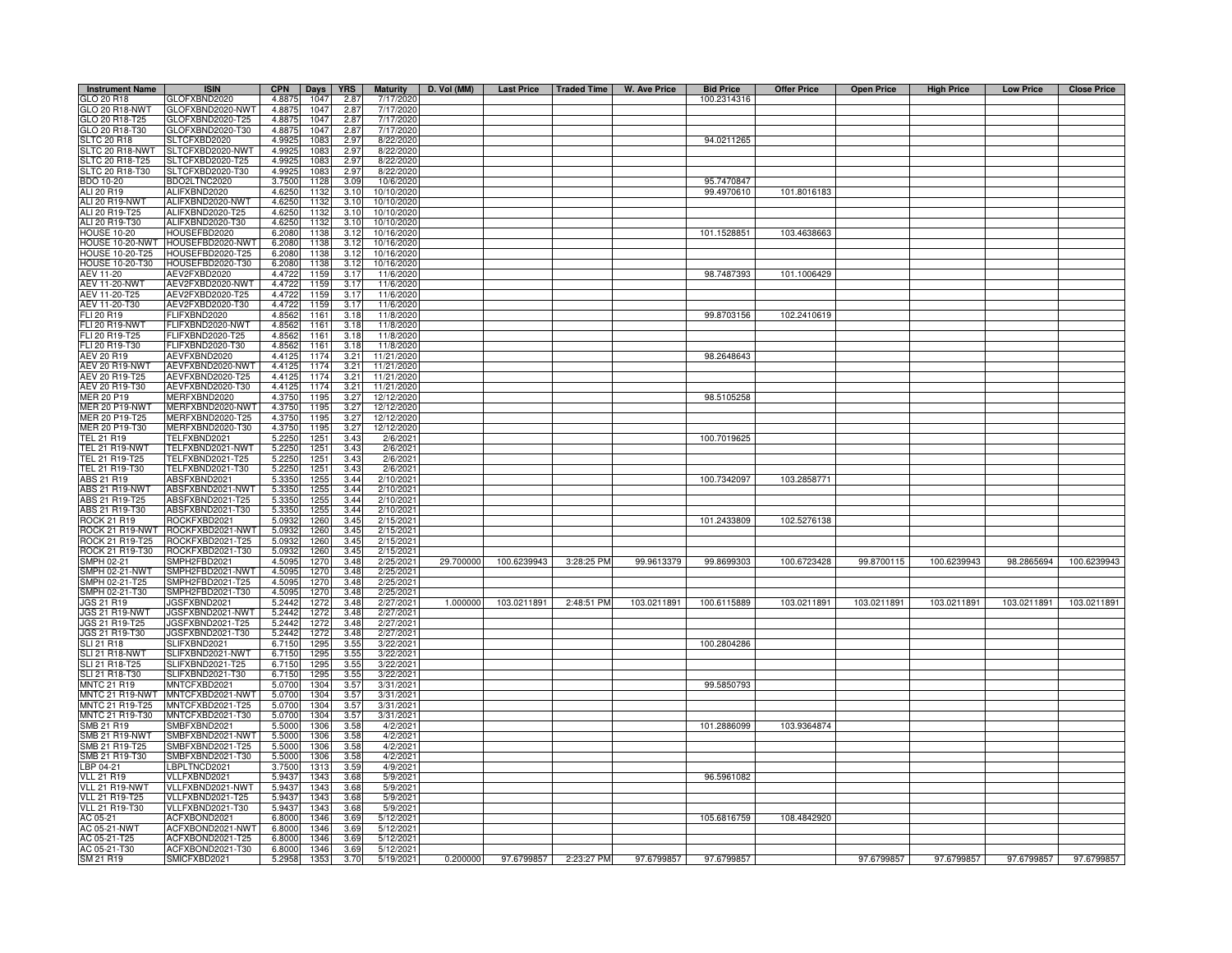| <b>Instrument Name</b>                      | <b>ISIN</b>                           | <b>CPN</b>       | Days         | <b>YRS</b>   | <b>Maturity</b>          | D. Vol (MM) |             | Last Price   Traded Time | W. Ave Price | <b>Bid Price</b> | <b>Offer Price</b> | <b>Open Price</b> | <b>High Price</b> | <b>Low Price</b> | <b>Close Price</b> |
|---------------------------------------------|---------------------------------------|------------------|--------------|--------------|--------------------------|-------------|-------------|--------------------------|--------------|------------------|--------------------|-------------------|-------------------|------------------|--------------------|
| GLO 20 R18                                  | GLOFXBND2020                          | 4.8875           | 1047         | 2.87         | 7/17/2020                |             |             |                          |              | 100.2314316      |                    |                   |                   |                  |                    |
| GLO 20 R18-NWT                              | GLOFXBND2020-NWT                      | 4.8875           | 1047         | 2.87         | 7/17/2020                |             |             |                          |              |                  |                    |                   |                   |                  |                    |
| GLO 20 R18-T25                              | GLOFXBND2020-T25                      | 4.8875           | 1047         | 2.87         | 7/17/2020                |             |             |                          |              |                  |                    |                   |                   |                  |                    |
| GLO 20 R18-T30                              | GLOFXBND2020-T30                      | 4.8875           | 1047         | 2.87         | 7/17/2020                |             |             |                          |              |                  |                    |                   |                   |                  |                    |
| <b>LTC 20 R18</b><br><b>SLTC 20 R18-NWT</b> | LTCFXBD2020<br>LTCFXBD2020-NWT        | 4.9925<br>4.9925 | 1083<br>1083 | 2.97<br>2.97 | 8/22/2020<br>8/22/2020   |             |             |                          |              | 94.0211265       |                    |                   |                   |                  |                    |
| LTC 20 R18-T25                              | LTCFXBD2020-T25                       | 4.992            | 1083         | 2.97         | 8/22/2020                |             |             |                          |              |                  |                    |                   |                   |                  |                    |
| SLTC 20 R18-T30                             | SLTCFXBD2020-T30                      | 4.9925           | 1083         | 2.97         | 8/22/2020                |             |             |                          |              |                  |                    |                   |                   |                  |                    |
| BDO 10-20                                   | BDO2LTNC2020                          | 3.7500           | 1128         | 3.09         | 10/6/2020                |             |             |                          |              | 95.7470847       |                    |                   |                   |                  |                    |
| ALI 20 R19                                  | ALIFXBND2020                          | 4.6250           | 1132         | 3.10         | 10/10/2020               |             |             |                          |              | 99.4970610       | 101.8016183        |                   |                   |                  |                    |
| ALI 20 R19-NWT                              | ALIFXBND2020-NWT                      | 4.6250           | 1132         | 3.10         | 10/10/2020               |             |             |                          |              |                  |                    |                   |                   |                  |                    |
| ALI 20 R19-T25                              | ALIFXBND2020-T25                      | 4.6250           | 1132         | 3.10         | 10/10/2020               |             |             |                          |              |                  |                    |                   |                   |                  |                    |
| ALI 20 R19-T30                              | ALIFXBND2020-T30                      | 4.6250           | 1132         | 3.10         | 10/10/2020               |             |             |                          |              |                  |                    |                   |                   |                  |                    |
| <b>HOUSE 10-20</b>                          | HOUSEFBD2020                          | 6.2080           | 1138         | 3.12         | 10/16/2020               |             |             |                          |              | 101.1528851      | 103.4638663        |                   |                   |                  |                    |
| HOUSE 10-20-NWT                             | HOUSEFBD2020-NWT                      | 6.2080           | 1138         | 3.12         | 10/16/2020               |             |             |                          |              |                  |                    |                   |                   |                  |                    |
| HOUSE 10-20-T25                             | OUSEFBD2020-T25                       | 6.2080           | 1138         | 3.12         | 10/16/2020               |             |             |                          |              |                  |                    |                   |                   |                  |                    |
| HOUSE 10-20-T30<br>AEV 11-20                | HOUSEFBD2020-T30<br>AEV2FXBD2020      | 6.2080<br>4.4722 | 1138<br>1159 | 3.12<br>3.17 | 10/16/2020<br>11/6/2020  |             |             |                          |              | 98.7487393       | 101.1006429        |                   |                   |                  |                    |
| <b>AEV 11-20-NWT</b>                        | AEV2FXBD2020-NWT                      | 4.4722           | 1159         | 3.17         | 11/6/202                 |             |             |                          |              |                  |                    |                   |                   |                  |                    |
| AEV 11-20-T25                               | AEV2FXBD2020-T25                      | 4.4722           | 1159         | 3.17         | 11/6/2020                |             |             |                          |              |                  |                    |                   |                   |                  |                    |
| AEV 11-20-T30                               | AEV2FXBD2020-T30                      | 4.4722           | 1159         | 3.17         | 11/6/2020                |             |             |                          |              |                  |                    |                   |                   |                  |                    |
| FLI 20 R19                                  | <b>LIFXBND2020</b>                    | 4.8562           | 1161         | 3.18         | 11/8/202                 |             |             |                          |              | 99.8703156       | 102.2410619        |                   |                   |                  |                    |
| FLI 20 R19-NWT                              | ELIFXBND2020-NWT                      | 4.8562           | 1161         | 3.18         | 11/8/2020                |             |             |                          |              |                  |                    |                   |                   |                  |                    |
| FLI 20 R19-T25                              | ELIFXBND2020-T25                      | 4.8562           | 1161         | 3.18         | 11/8/2020                |             |             |                          |              |                  |                    |                   |                   |                  |                    |
| FLI 20 R19-T30                              | FLIFXBND2020-T30                      | 4.8562           | 1161         | 3.18         | 11/8/2020                |             |             |                          |              |                  |                    |                   |                   |                  |                    |
| <b>AEV 20 R19</b>                           | AEVFXBND2020                          | 4.4125           | 1174         | 3.21         | 11/21/2020               |             |             |                          |              | 98.2648643       |                    |                   |                   |                  |                    |
| AEV 20 R19-NWT                              | AEVFXBND2020-NWT                      | 4.4125           | 1174         | 3.21         | 11/21/202                |             |             |                          |              |                  |                    |                   |                   |                  |                    |
| AEV 20 R19-T25                              | AEVFXBND2020-T25                      | 4.4125           | 1174         | 3.21         | 11/21/2020               |             |             |                          |              |                  |                    |                   |                   |                  |                    |
| AEV 20 R19-T30                              | AEVFXBND2020-T30                      | 4.4125           | 1174         | 3.21         | 11/21/2020               |             |             |                          |              |                  |                    |                   |                   |                  |                    |
| <b>MER 20 P19</b>                           | MERFXBND2020                          | 4.3750           | 1195         | 3.27         | 12/12/2020               |             |             |                          |              | 98.5105258       |                    |                   |                   |                  |                    |
| <b>MER 20 P19-NWT</b><br>MER 20 P19-T25     | MERFXBND2020-NWT<br>//ERFXBND2020-T25 | 4.3750<br>4.3750 | 1195<br>1195 | 3.27         | 12/12/2020<br>12/12/2020 |             |             |                          |              |                  |                    |                   |                   |                  |                    |
| MER 20 P19-T30                              | MERFXBND2020-T30                      | 4.3750           | 1195         | 3.27<br>3.27 | 12/12/2020               |             |             |                          |              |                  |                    |                   |                   |                  |                    |
| TEL 21 R19                                  | TELFXBND2021                          | 5.225            | 125          | 3.43         | 2/6/2021                 |             |             |                          |              | 100.7019625      |                    |                   |                   |                  |                    |
| TEL 21 R19-NWT                              | TELFXBND2021-NWT                      | 5.2250           | 1251         | 3.43         | 2/6/2021                 |             |             |                          |              |                  |                    |                   |                   |                  |                    |
| TEL 21 R19-T25                              | TELFXBND2021-T25                      | 5.2250           | 1251         | 3.43         | 2/6/2021                 |             |             |                          |              |                  |                    |                   |                   |                  |                    |
| TEL 21 R19-T30                              | TELFXBND2021-T30                      | 5.2250           | 1251         | 3.43         | 2/6/2021                 |             |             |                          |              |                  |                    |                   |                   |                  |                    |
| ABS 21 R19                                  | ABSFXBND2021                          | 5.3350           | 1255         | 3.44         | 2/10/2021                |             |             |                          |              | 100.7342097      | 103.2858771        |                   |                   |                  |                    |
| ABS 21 R19-NWT                              | ABSFXBND2021-NWT                      | 5.3350           | 1255         | 3.44         | 2/10/2021                |             |             |                          |              |                  |                    |                   |                   |                  |                    |
| ABS 21 R19-T25                              | ABSFXBND2021-T25                      | 5.3350           | 1255         | 3.44         | 2/10/2021                |             |             |                          |              |                  |                    |                   |                   |                  |                    |
| ABS 21 R19-T30                              | ABSFXBND2021-T30                      | 5.3350           | 1255         | 3.44         | 2/10/2021                |             |             |                          |              |                  |                    |                   |                   |                  |                    |
| <b>ROCK 21 R19</b><br>ROCK 21 R19-NWT       | ROCKFXBD2021<br>ROCKFXBD2021-NWT      | 5.0932           | 1260<br>1260 | 3.45<br>3.45 | 2/15/202<br>2/15/202     |             |             |                          |              | 101.2433809      | 102.5276138        |                   |                   |                  |                    |
| ROCK 21 R19-T25                             | ROCKFXBD2021-T25                      | 5.0932<br>5.0932 | 1260         | 3.45         | 2/15/2021                |             |             |                          |              |                  |                    |                   |                   |                  |                    |
| ROCK 21 R19-T30                             | ROCKFXBD2021-T30                      | 5.0932           | 1260         | 3.45         | 2/15/202                 |             |             |                          |              |                  |                    |                   |                   |                  |                    |
| SMPH 02-21                                  | SMPH2FBD2021                          | 4.5095           | 1270         | 3.48         | 2/25/2021                | 29.700000   | 100.6239943 | 3:28:25 PM               | 99.9613379   | 99.8699303       | 100.6723428        | 99.8700115        | 100.6239943       | 98.2865694       | 100.6239943        |
| SMPH 02-21-NWT                              | SMPH2FBD2021-NWT                      | 4.5095           | 1270         | 3.48         | 2/25/2021                |             |             |                          |              |                  |                    |                   |                   |                  |                    |
| SMPH 02-21-T25                              | SMPH2FBD2021-T25                      | 4.5095           | 1270         | 3.48         | 2/25/2021                |             |             |                          |              |                  |                    |                   |                   |                  |                    |
| SMPH 02-21-T30                              | MPH2FBD2021-T30                       | 4.5095           | 1270         | 3.48         | 2/25/2021                |             |             |                          |              |                  |                    |                   |                   |                  |                    |
| JGS 21 R19                                  | JGSFXBND2021                          | 5.2442           | 1272         | 3.48         | 2/27/2021                | 1.000000    | 103.0211891 | 2:48:51 PM               | 103.0211891  | 100.6115889      | 103.0211891        | 103.0211891       | 103.0211891       | 103.0211891      | 103.0211891        |
| <b>JGS 21 R19-NWT</b>                       | JGSFXBND2021-NWT                      | 5.2442           | 1272         | 3.48         | 2/27/2021                |             |             |                          |              |                  |                    |                   |                   |                  |                    |
| JGS 21 R19-T25                              | JGSFXBND2021-T25                      | 5.2442           | 1272         | 3.48         | 2/27/2021                |             |             |                          |              |                  |                    |                   |                   |                  |                    |
| JGS 21 R19-T30                              | JGSFXBND2021-T30                      | 5.2442           | 1272         | 3.48         | 2/27/2021                |             |             |                          |              |                  |                    |                   |                   |                  |                    |
| <b>SLI 21 R18</b>                           | SLIFXBND2021                          | 6.7150           | 1295         | 3.55         | 3/22/2021                |             |             |                          |              | 100.2804286      |                    |                   |                   |                  |                    |
| SLI 21 R18-NWT<br>SLI 21 R18-T25            | SLIFXBND2021-NWT<br>SLIFXBND2021-T25  | 6.7150<br>6.7150 | 1295<br>1295 | 3.55<br>3.55 | 3/22/2021<br>3/22/2021   |             |             |                          |              |                  |                    |                   |                   |                  |                    |
| SLI 21 R18-T30                              | SLIFXBND2021-T30                      | 6.7150           | 1295         | 3.55         | 3/22/2021                |             |             |                          |              |                  |                    |                   |                   |                  |                    |
| <b>MNTC 21 R19</b>                          | MNTCFXBD2021                          | 5.0700           | 1304         | 3.57         | 3/31/2021                |             |             |                          |              | 99.5850793       |                    |                   |                   |                  |                    |
| MNTC 21 R19-NWT                             | MNTCFXBD2021-NWT                      | 5.0700           | 1304         | 3.57         | 3/31/2021                |             |             |                          |              |                  |                    |                   |                   |                  |                    |
| MNTC 21 R19-T25                             | MNTCFXBD2021-T25                      | 5.0700           | 1304         | 3.57         | 3/31/202                 |             |             |                          |              |                  |                    |                   |                   |                  |                    |
| MNTC 21 R19-T30                             | MNTCFXBD2021-T30                      | 5.0700           | 1304         | 3.57         | 3/31/2021                |             |             |                          |              |                  |                    |                   |                   |                  |                    |
| MB 21 R19                                   | SMBFXBND2021                          | 5.5000           | 1306         | 3.58         | 4/2/202                  |             |             |                          |              | 101.2886099      | 103.9364874        |                   |                   |                  |                    |
| SMB 21 R19-NWT                              | SMBFXBND2021-NWT                      | 5.5000           | 1306         | 3.58         | 4/2/202                  |             |             |                          |              |                  |                    |                   |                   |                  |                    |
| SMB 21 R19-T25                              | SMBFXBND2021-T25                      | 5.5000           | 1306         | 3.58         | 4/2/202                  |             |             |                          |              |                  |                    |                   |                   |                  |                    |
| SMB 21 R19-T30                              | MBFXBND2021-T30                       | 5.5000           | 1306         | 3.58         | 4/2/202                  |             |             |                          |              |                  |                    |                   |                   |                  |                    |
| LBP 04-21                                   | BPLTNCD2021                           | 3.7500           | 1313         | 3.59         | 4/9/202                  |             |             |                          |              |                  |                    |                   |                   |                  |                    |
| <b>VLL 21 R19</b><br>VLL 21 R19-NWT         | VLLFXBND2021<br>VLLFXBND2021-NWT      | 5.9437<br>5.9437 | 1343<br>1343 | 3.68<br>3.68 | 5/9/202<br>5/9/2021      |             |             |                          |              | 96.5961082       |                    |                   |                   |                  |                    |
| <b>VLL 21 R19-T25</b>                       | VLLFXBND2021-T25                      | 5.9437           | 1343         | 3.68         | 5/9/202                  |             |             |                          |              |                  |                    |                   |                   |                  |                    |
| <b>VLL 21 R19-T30</b>                       | /LLFXBND2021-T30                      | 5.9437           | 1343         | 3.68         | 5/9/2021                 |             |             |                          |              |                  |                    |                   |                   |                  |                    |
| AC 05-21                                    | ACFXBOND2021                          | 6.8000           | 1346         | 3.69         | 5/12/2021                |             |             |                          |              | 105.6816759      | 108.4842920        |                   |                   |                  |                    |
| AC 05-21-NWT                                | ACFXBOND2021-NWT                      | 6.8000           | 1346         | 3.69         | 5/12/2021                |             |             |                          |              |                  |                    |                   |                   |                  |                    |
| AC 05-21-T25                                | ACFXBOND2021-T25                      | 6,8000           | 1346         | 3.69         | 5/12/2021                |             |             |                          |              |                  |                    |                   |                   |                  |                    |
| AC 05-21-T30                                | ACFXBOND2021-T30                      | 6,8000           | 1346         | 3.69         | 5/12/2021                |             |             |                          |              |                  |                    |                   |                   |                  |                    |
| SM 21 R19                                   | SMICFXBD2021                          | 5.2958           | 1353         | 3.70         | 5/19/2021                | 0.200000    |             | 97.6799857 2:23:27 PM    | 97.6799857   | 97.6799857       |                    | 97.6799857        | 97.6799857        | 97.6799857       | 97.6799857         |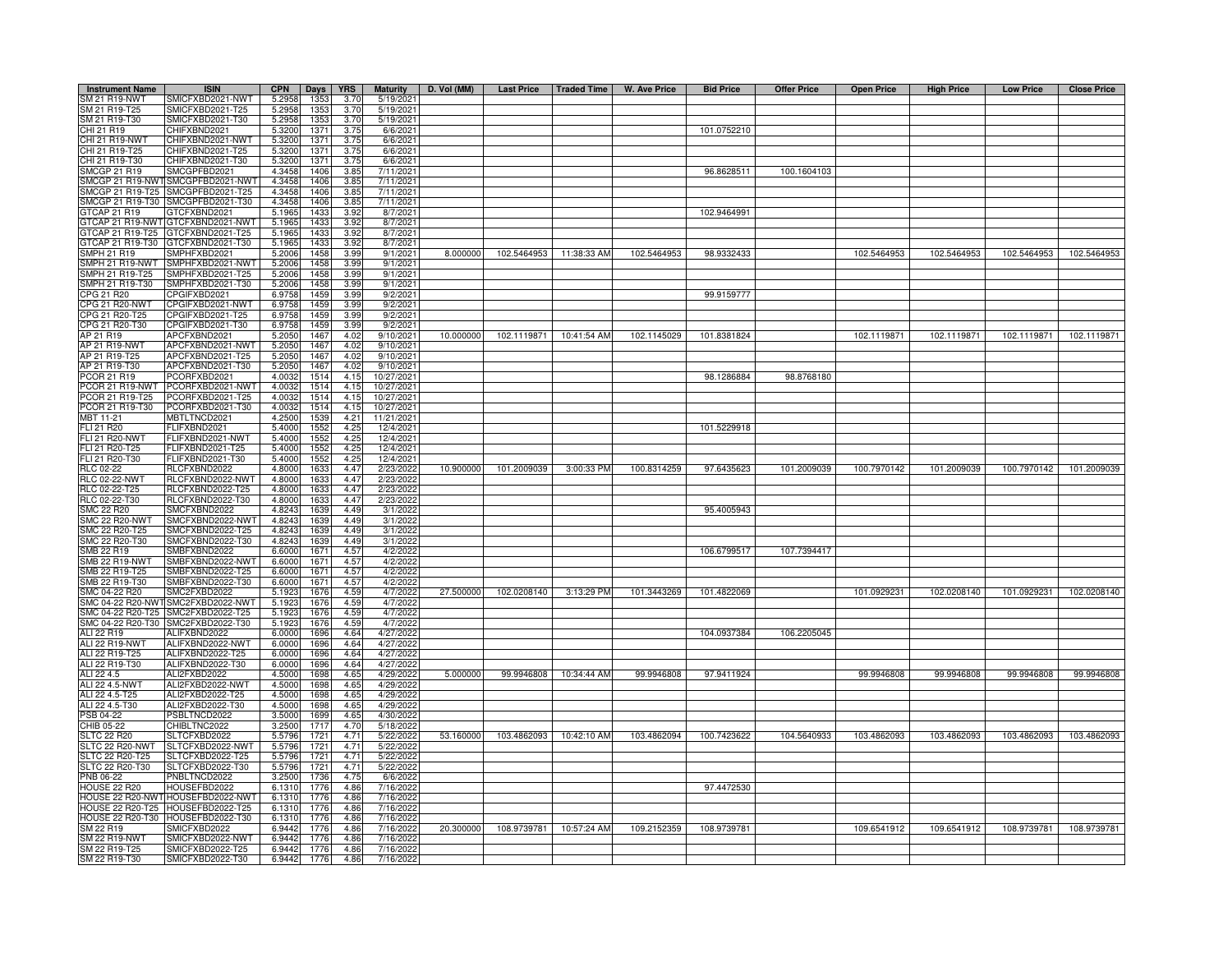| <b>Instrument Name</b>             | <b>ISIN</b>                                            | <b>CPN</b>      | Days             | <b>YRS</b>   | <b>Maturity</b>       | D. Vol (MM) | Last Price   Traded Time            |                          | W. Ave Price | <b>Bid Price</b> | <b>Offer Price</b> | <b>Open Price</b> | <b>High Price</b> | <b>Low Price</b> | <b>Close Price</b>      |
|------------------------------------|--------------------------------------------------------|-----------------|------------------|--------------|-----------------------|-------------|-------------------------------------|--------------------------|--------------|------------------|--------------------|-------------------|-------------------|------------------|-------------------------|
| SM 21 R19-NWT                      | SMICFXBD2021-NWT                                       | 5.2958          | 1353             | 3.70         | 5/19/2021             |             |                                     |                          |              |                  |                    |                   |                   |                  |                         |
| SM 21 R19-T25                      | SMICFXBD2021-T25                                       | 5.2958          | 1353             | 3.70         | 5/19/2021             |             |                                     |                          |              |                  |                    |                   |                   |                  |                         |
| SM 21 R19-T30                      | SMICFXBD2021-T30                                       | 5.2958          | 1353             | 3.70         | 5/19/2021             |             |                                     |                          |              |                  |                    |                   |                   |                  |                         |
| CHI 21 R19                         | CHIFXBND2021                                           | 5.3200          | 1371             | 3.75         | 6/6/2021              |             |                                     |                          |              | 101.0752210      |                    |                   |                   |                  |                         |
| CHI 21 R19-NWT                     | CHIFXBND2021-NWT                                       | 5.3200          | 1371             | 3.75         | 6/6/2021              |             |                                     |                          |              |                  |                    |                   |                   |                  |                         |
| CHI 21 R19-T25                     | CHIFXBND2021-T25                                       | 5.3200          | 1371             | 3.75         | 6/6/2021              |             |                                     |                          |              |                  |                    |                   |                   |                  |                         |
| CHI 21 R19-T30                     | CHIFXBND2021-T30                                       | 5.3200          | 137 <sup>1</sup> | 3.75         | 6/6/2021              |             |                                     |                          |              |                  |                    |                   |                   |                  |                         |
| <b>SMCGP 21 R19</b>                | SMCGPFBD2021                                           | 4.3458          | 1406             | 3.85         | 7/11/2021             |             |                                     |                          |              | 96.8628511       | 100.1604103        |                   |                   |                  |                         |
| SMCGP 21 R19-NWT                   | SMCGPFBD2021-NWT                                       | 4.3458          | 1406             | 3.85         | 7/11/2021             |             |                                     |                          |              |                  |                    |                   |                   |                  |                         |
| SMCGP 21 R19-T25                   | SMCGPFBD2021-T25                                       | 4.3458          | 1406             | 3.85         | 7/11/2021             |             |                                     |                          |              |                  |                    |                   |                   |                  |                         |
| SMCGP 21 R19-T30                   | SMCGPFBD2021-T30                                       | 4.3458          | 1406             | 3.85         | 7/11/2021             |             |                                     |                          |              |                  |                    |                   |                   |                  |                         |
| TCAP 21 R19                        | GTCFXBND2021                                           | 5.1965          | 143              | 3.92         | 8/7/2021              |             |                                     |                          |              | 102.9464991      |                    |                   |                   |                  |                         |
|                                    | 3TCAP 21 R19-NWT GTCFXBND2021-NWT                      | 5.1965          | 1433             | 3.92         | 8/7/2021              |             |                                     |                          |              |                  |                    |                   |                   |                  |                         |
|                                    | STCAP 21 R19-T25 GTCFXBND2021-T25                      | 5.1965          | 1433             | 3.92         | 8/7/2021              |             |                                     |                          |              |                  |                    |                   |                   |                  |                         |
| TCAP 21 R19-T30                    | GTCFXBND2021-T30                                       | 5.1965          | 1433             | 3.92         | 8/7/2021              |             |                                     |                          |              |                  |                    |                   |                   |                  |                         |
| SMPH 21 R19                        | SMPHFXBD2021                                           | 5.2006          | 1458             | 3.99         | 9/1/2021              | 8.000000    | 102.5464953 11:38:33 AM             |                          | 102.5464953  | 98.9332433       |                    | 102.5464953       | 102.5464953       | 102.5464953      | 102.5464953             |
| MPH 21 R19-NWT                     | SMPHFXBD2021-NWT                                       | 5.200           | 1458             | 3.99         | 9/1/2021              |             |                                     |                          |              |                  |                    |                   |                   |                  |                         |
| MPH 21 R19-T25                     | SMPHFXBD2021-T25                                       | 5.200           | 1458             | 3.99         | 9/1/2021              |             |                                     |                          |              |                  |                    |                   |                   |                  |                         |
| MPH 21 R19-T30                     | SMPHFXBD2021-T30                                       | 5.200           | 1458             | 3.99         | 9/1/2021              |             |                                     |                          |              |                  |                    |                   |                   |                  |                         |
| <b>PG 21 R20</b>                   | CPGIFXBD2021                                           | 6.975           | 1459             | 3.99         | 9/2/2021              |             |                                     |                          |              | 99.9159777       |                    |                   |                   |                  |                         |
| CPG 21 R20-NWT                     | CPGIFXBD2021-NWT                                       | 6.975           | 1459             | 3.99         | 9/2/202               |             |                                     |                          |              |                  |                    |                   |                   |                  |                         |
| CPG 21 R20-T25                     | CPGIFXBD2021-T25                                       | 6.975           | 1459             | 3.99         | 9/2/202               |             |                                     |                          |              |                  |                    |                   |                   |                  |                         |
| CPG 21 R20-T30                     | CPGIFXBD2021-T30                                       | 6.9758          | 1459             | 3.99         | 9/2/202               |             |                                     |                          |              |                  |                    |                   |                   |                  |                         |
| AP 21 R19                          | APCFXBND2021                                           | 5.2050          | 1467             | 4.02         | 9/10/2021             |             | 10.000000  102.1119871  10:41:54 AM |                          | 102.1145029  | 101.8381824      |                    | 102.1119871       | 102.1119871       |                  | 102.1119871 102.1119871 |
| AP 21 R19-NWT                      | APCFXBND2021-NWT                                       | 5.2050          | 1467             | 4.02         | 9/10/2021             |             |                                     |                          |              |                  |                    |                   |                   |                  |                         |
| AP 21 R19-T25                      | APCFXBND2021-T25                                       | 5.2050          | 1467             | 4.02         | 9/10/2021             |             |                                     |                          |              |                  |                    |                   |                   |                  |                         |
| AP 21 R19-T30                      | APCFXBND2021-T30                                       | 5.2050          | 1467             | 4.02         | 9/10/2021             |             |                                     |                          |              |                  |                    |                   |                   |                  |                         |
| PCOR 21 R19                        | PCORFXBD2021                                           | 4.003           | 1514             | 4.15         | 10/27/2021            |             |                                     |                          |              | 98.1286884       | 98.8768180         |                   |                   |                  |                         |
| PCOR 21 R19-NWT                    | PCORFXBD2021-NWT                                       | 4.003           | 1514             | 4.15         | 10/27/2021            |             |                                     |                          |              |                  |                    |                   |                   |                  |                         |
| PCOR 21 R19-T25                    | PCORFXBD2021-T25                                       | 4.003           | 1514             | 4.15         | 10/27/2021            |             |                                     |                          |              |                  |                    |                   |                   |                  |                         |
| PCOR 21 R19-T30                    | PCORFXBD2021-T30                                       | 4.003           | 1514             | 4.15         | 10/27/2021            |             |                                     |                          |              |                  |                    |                   |                   |                  |                         |
| MBT 11-21                          | MBTLTNCD2021                                           | 4.2500          | 1539             | 4.21         | 11/21/2021            |             |                                     |                          |              |                  |                    |                   |                   |                  |                         |
| FLI 21 R20                         | FLIFXBND2021                                           | 5.4000          | 1552             | 4.25         | 12/4/2021             |             |                                     |                          |              | 101.5229918      |                    |                   |                   |                  |                         |
| <b>FLI 21 R20-NWT</b>              | FLIFXBND2021-NWT                                       | 5.400           | 1552             | 4.25         | 12/4/2021             |             |                                     |                          |              |                  |                    |                   |                   |                  |                         |
| FLI 21 R20-T25                     | -LIFXBND2021-T25                                       | 5.4000          | 1552             | 4.25         | 12/4/2021             |             |                                     |                          |              |                  |                    |                   |                   |                  |                         |
| FLI 21 R20-T30                     | FLIFXBND2021-T30                                       | 5.4000          | 1552             | 4.25         | 12/4/2021             |             |                                     |                          |              |                  |                    |                   |                   |                  |                         |
| RLC 02-22                          | RLCFXBND2022                                           | 4.800           | 163              | 4.47         | 2/23/202              | 10.900000   | 101.2009039                         | 3:00:33 PM               | 100.8314259  | 97.6435623       | 101.2009039        | 100.7970142       | 101.2009039       | 100.7970142      | 101.2009039             |
| RLC 02-22-NWT                      | RLCFXBND2022-NWT                                       | 4.800           | 1633             | 4.47         | 2/23/2022             |             |                                     |                          |              |                  |                    |                   |                   |                  |                         |
| RLC 02-22-T25                      | RLCFXBND2022-T25                                       | 4.800           | 1633             | 4.47         | 2/23/2022             |             |                                     |                          |              |                  |                    |                   |                   |                  |                         |
| RLC 02-22-T30                      | RLCFXBND2022-T30                                       | 4.8000          | 1633             | 4.47         | 2/23/2022             |             |                                     |                          |              |                  |                    |                   |                   |                  |                         |
| <b>SMC 22 R20</b>                  | SMCFXBND2022                                           | 4.824           | 1639             | 4.49         | 3/1/2022              |             |                                     |                          |              | 95.4005943       |                    |                   |                   |                  |                         |
| MC 22 R <sub>20</sub> -NWT         | SMCFXBND2022-NWT                                       | 4.824           | 1639             | 4.49         | 3/1/2022              |             |                                     |                          |              |                  |                    |                   |                   |                  |                         |
| MC 22 R20-T25                      | SMCFXBND2022-T25<br>SMCFXBND2022-T30                   | 4.824           | 1639             | 4.49         | 3/1/2022              |             |                                     |                          |              |                  |                    |                   |                   |                  |                         |
| MC 22 R20-T30<br>MB 22 R19         | SMBFXBND2022                                           | 4.824<br>6.600  | 1639             | 4.49<br>4.57 | 3/1/2022<br>4/2/2022  |             |                                     |                          |              |                  |                    |                   |                   |                  |                         |
| <b>SMB 22 R19-NWT</b>              | SMBFXBND2022-NWT                                       | 6.6000          | 1671             | 4.57         | 4/2/2022              |             |                                     |                          |              | 106.6799517      | 107.7394417        |                   |                   |                  |                         |
|                                    |                                                        |                 | 1671             |              |                       |             |                                     |                          |              |                  |                    |                   |                   |                  |                         |
| MB 22 R19-T25<br>SMB 22 R19-T30    | SMBFXBND2022-T25<br>SMBFXBND2022-T30                   | 6.600           | 1671             | 4.57<br>4.57 | 4/2/2022              |             |                                     |                          |              |                  |                    |                   |                   |                  |                         |
|                                    |                                                        | 6.6000          | 1671             |              | 4/2/2022              |             |                                     |                          |              |                  |                    |                   |                   |                  |                         |
| SMC 04-22 R20<br>SMC 04-22 R20-NWT | SMC2FXBD2022<br>SMC2FXBD2022-NWT                       | 5.192<br>5.192  | 1676<br>1676     | 4.59<br>4.59 | 4/7/2022<br>4/7/2022  | 27.500000   | 102.0208140                         | 3:13:29 PM               | 101.3443269  | 101.4822069      |                    | 101.0929231       | 102.0208140       | 101.0929231      | 102.0208140             |
|                                    |                                                        |                 |                  |              |                       |             |                                     |                          |              |                  |                    |                   |                   |                  |                         |
| SMC 04-22 R20-T25                  | SMC2FXBD2022-T25<br>SMC 04-22 R20-T30 SMC2FXBD2022-T30 | 5.192           | 1676             | 4.59         | 4/7/2022              |             |                                     |                          |              |                  |                    |                   |                   |                  |                         |
| ALI 22 R19                         | ALIFXBND2022                                           | 5.192<br>6.0000 | 1676<br>1696     | 4.59<br>4.64 | 4/7/2022<br>4/27/2022 |             |                                     |                          |              | 104.0937384      | 106.2205045        |                   |                   |                  |                         |
| ALI 22 R19-NWT                     | ALIFXBND2022-NWT                                       | 6.0000          | 1696             | 4.64         | 4/27/2022             |             |                                     |                          |              |                  |                    |                   |                   |                  |                         |
| ALI 22 R19-T25                     | ALIFXBND2022-T25                                       | 6.0000          | 1696             | 4.64         | 4/27/2022             |             |                                     |                          |              |                  |                    |                   |                   |                  |                         |
| ALI 22 R19-T30                     | ALIFXBND2022-T30                                       | 6.0000          | 1696             | 4.64         | 4/27/202              |             |                                     |                          |              |                  |                    |                   |                   |                  |                         |
| ALI 22 4.5                         | ALI2FXBD2022                                           | 4.5000          | 1698             | 4.65         | 4/29/202              | 5.000000    | 99.9946808                          | 10:34:44 AM              | 99.9946808   | 97.9411924       |                    | 99.9946808        | 99.9946808        | 99.9946808       | 99.9946808              |
| ALI 22 4.5-NWT                     | ALI2FXBD2022-NWT                                       | 4.5000          | 1698             | 4.65         | 4/29/2022             |             |                                     |                          |              |                  |                    |                   |                   |                  |                         |
| ALI 22 4.5-T25                     | ALI2FXBD2022-T25                                       | 4.5000          | 1698             | 4.65         | 4/29/2022             |             |                                     |                          |              |                  |                    |                   |                   |                  |                         |
| ALI 22 4.5-T30                     | ALI2FXBD2022-T30                                       | 4.5000          | 1698             | 4.65         | 4/29/2022             |             |                                     |                          |              |                  |                    |                   |                   |                  |                         |
| <b>PSB 04-22</b>                   | PSBLTNCD2022                                           | 3.5000          | 1699             | 4.65         | 4/30/2022             |             |                                     |                          |              |                  |                    |                   |                   |                  |                         |
| CHIB 05-22                         | CHIBLTNC2022                                           | 3.2500          | 1717             | 4.70         | 5/18/2022             |             |                                     |                          |              |                  |                    |                   |                   |                  |                         |
| SLTC 22 R20                        | SLTCFXBD2022                                           | 5.5796          | 1721             | 4.71         | 5/22/2022             | 53.160000   |                                     | 103.4862093 10:42:10 AM  | 103.4862094  | 100.7423622      | 104.5640933        | 103.4862093       | 103.4862093       | 103.4862093      | 103.4862093             |
| LTC 22 R20-NWT                     | SLTCFXBD2022-NWT                                       | 5.5796          | 1721             | 4.71         | 5/22/2022             |             |                                     |                          |              |                  |                    |                   |                   |                  |                         |
| SLTC 22 R20-T25                    | SLTCFXBD2022-T25                                       | 5.5796          | 1721             | 4.71         | 5/22/2022             |             |                                     |                          |              |                  |                    |                   |                   |                  |                         |
| SLTC 22 R20-T30                    | SLTCFXBD2022-T30                                       | 5.5796          | 1721             | 4.71         | 5/22/2022             |             |                                     |                          |              |                  |                    |                   |                   |                  |                         |
| <b>PNB 06-22</b>                   | PNBLTNCD2022                                           | 3.2500          | 1736             | 4.75         | 6/6/2022              |             |                                     |                          |              |                  |                    |                   |                   |                  |                         |
| <b>HOUSE 22 R20</b>                | HOUSEFBD2022                                           | 6.1310          | 1776             | 4.86         | 7/16/2022             |             |                                     |                          |              | 97.4472530       |                    |                   |                   |                  |                         |
|                                    | HOUSE 22 R20-NWT HOUSEFBD2022-NWT                      | 6.1310          | 1776             | 4.86         | 7/16/2022             |             |                                     |                          |              |                  |                    |                   |                   |                  |                         |
|                                    | HOUSE 22 R20-T25 HOUSEFBD2022-T25                      | 6.1310          | 1776             | 4.86         | 7/16/2022             |             |                                     |                          |              |                  |                    |                   |                   |                  |                         |
|                                    | HOUSE 22 R20-T30 HOUSEFBD2022-T30                      | 6.1310          | 1776             | 4.86         | 7/16/2022             |             |                                     |                          |              |                  |                    |                   |                   |                  |                         |
| SM 22 R19                          | SMICFXBD2022                                           | 6.9442          | 1776             | 4.86         | 7/16/2022             | 20.300000   |                                     | 108.9739781  10:57:24 AM | 109.2152359  | 108.9739781      |                    | 109.6541912       | 109.6541912       | 108.9739781      | 108.9739781             |
| SM 22 R19-NWT                      | SMICFXBD2022-NWT                                       | 6.9442          | 1776             | 4.86         | 7/16/2022             |             |                                     |                          |              |                  |                    |                   |                   |                  |                         |
| SM 22 R19-T25                      | SMICFXBD2022-T25                                       | 6.9442          | 1776             | 4.86         | 7/16/2022             |             |                                     |                          |              |                  |                    |                   |                   |                  |                         |
| SM 22 R19-T30                      | SMICFXBD2022-T30                                       | 6.9442          | 1776             | 4.86         | 7/16/2022             |             |                                     |                          |              |                  |                    |                   |                   |                  |                         |
|                                    |                                                        |                 |                  |              |                       |             |                                     |                          |              |                  |                    |                   |                   |                  |                         |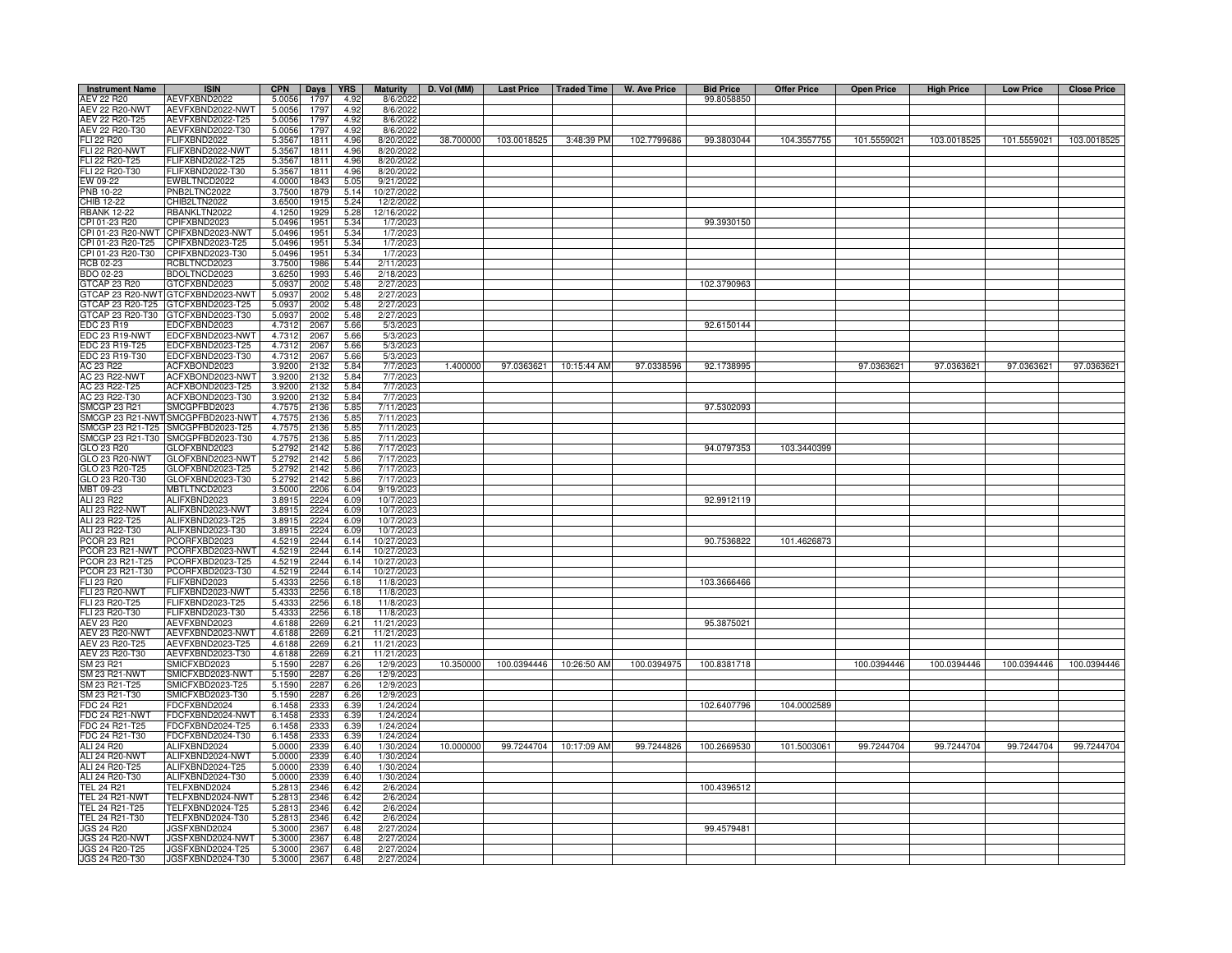| <b>Instrument Name</b>         | <b>ISIN</b>                       | <b>CPN</b>       | Days         | <b>YRS</b>   | <b>Maturity</b>       | D. Vol (MM) | <b>Last Price</b> | Traded Time             | <b>W. Ave Price</b> | <b>Bid Price</b> | <b>Offer Price</b> | <b>Open Price</b> | <b>High Price</b> | <b>Low Price</b> | <b>Close Price</b> |
|--------------------------------|-----------------------------------|------------------|--------------|--------------|-----------------------|-------------|-------------------|-------------------------|---------------------|------------------|--------------------|-------------------|-------------------|------------------|--------------------|
| AEV 22 R20                     | AEVFXBND2022                      | 5.0056           | 1797         | 4.92         | 8/6/2023              |             |                   |                         |                     | 99.8058850       |                    |                   |                   |                  |                    |
| <b>AEV 22 R20-NWT</b>          | AEVFXBND2022-NWT                  | 5.0056           | 1797         | 4.92         | 8/6/2022              |             |                   |                         |                     |                  |                    |                   |                   |                  |                    |
| AEV 22 R20-T25                 | AEVFXBND2022-T25                  | 5.0056           | 1797         | 4.92         | 8/6/2022              |             |                   |                         |                     |                  |                    |                   |                   |                  |                    |
| AEV 22 R20-T30                 | AEVFXBND2022-T30                  | 5.005            | 1797         | 4.92         | 8/6/2022              |             |                   |                         |                     |                  |                    |                   |                   |                  |                    |
| FLI 22 R20                     | FLIFXBND2022                      | 5.3567           | 1811         | 4.96         | 8/20/2022             | 38.700000   | 103.0018525       | 3:48:39 PM              | 102.7799686         | 99.3803044       | 104.3557755        | 101.5559021       | 103.0018525       | 101.5559021      | 103.0018525        |
| FLI 22 R20-NWT                 | FLIFXBND2022-NWT                  | 5.3567           | 1811         | 4.96         | 8/20/2022             |             |                   |                         |                     |                  |                    |                   |                   |                  |                    |
| FLI 22 R20-T25                 | FLIFXBND2022-T25                  | 5.3567           | 1811         | 4.96         | 8/20/2022             |             |                   |                         |                     |                  |                    |                   |                   |                  |                    |
| FLI 22 R20-T30                 | FLIFXBND2022-T30                  | 5.3567           | 1811         | 4.96         | 8/20/2022             |             |                   |                         |                     |                  |                    |                   |                   |                  |                    |
| EW 09-22                       | EWBLTNCD2022                      | 4.0000           | 1843         | 5.05         | 9/21/2022             |             |                   |                         |                     |                  |                    |                   |                   |                  |                    |
| PNB 10-22                      | PNB2LTNC2022                      | 3.7500           | 1879         | 5.14         | 10/27/2022            |             |                   |                         |                     |                  |                    |                   |                   |                  |                    |
| CHIB 12-22                     | CHIB2LTN2022                      | 3.6500           | 1915         | 5.24         | 12/2/2022             |             |                   |                         |                     |                  |                    |                   |                   |                  |                    |
| <b>BANK 12-22</b>              | RBANKLTN2022                      | 4.1250           | 1929         | 5.28         | 12/16/2022            |             |                   |                         |                     |                  |                    |                   |                   |                  |                    |
| CPI 01-23 R20                  | CPIFXBND2023                      | 5.0496           | 1951         | 5.34         | 1/7/2023              |             |                   |                         |                     | 99.3930150       |                    |                   |                   |                  |                    |
| PI 01-23 R20-NWT               | CPIFXBND2023-NWT                  | 5.0496           | 1951         | 5.34         | 1/7/202               |             |                   |                         |                     |                  |                    |                   |                   |                  |                    |
| CPI 01-23 R20-T25              | CPIFXBND2023-T25                  | 5.0496           | 1951         | 5.34         | 1/7/2023              |             |                   |                         |                     |                  |                    |                   |                   |                  |                    |
| CPI 01-23 R20-T30              | CPIFXBND2023-T30                  | 5.0496           | 1951         | 5.34         | 1/7/2023              |             |                   |                         |                     |                  |                    |                   |                   |                  |                    |
| <b>RCB 02-23</b>               | RCBLTNCD2023                      | 3.7500           | 1986         | 5.44         | 2/11/2023             |             |                   |                         |                     |                  |                    |                   |                   |                  |                    |
| BDO 02-23                      | BDOLTNCD2023                      | 3.6250           | 1993         | 5.46         | 2/18/2023             |             |                   |                         |                     |                  |                    |                   |                   |                  |                    |
| <b>GTCAP 23 R20</b>            | GTCFXBND2023                      | 5.093            | 2002         | 5.48         | 2/27/2023             |             |                   |                         |                     | 102.3790963      |                    |                   |                   |                  |                    |
|                                | 3TCAP 23 R20-NWT GTCFXBND2023-NWT | 5.093            | 2002         | 5.48         | 2/27/202              |             |                   |                         |                     |                  |                    |                   |                   |                  |                    |
|                                | GTCAP 23 R20-T25 GTCFXBND2023-T25 | 5.0937           | 2002         | 5.48         | 2/27/2023             |             |                   |                         |                     |                  |                    |                   |                   |                  |                    |
| GTCAP 23 R20-T30               | GTCFXBND2023-T30                  | 5.093            | 2002         | 5.48         | 2/27/2023             |             |                   |                         |                     |                  |                    |                   |                   |                  |                    |
| EDC 23 R19                     | EDCFXBND2023                      | 4.731            | 2067         | 5.66         | 5/3/2023              |             |                   |                         |                     | 92.6150144       |                    |                   |                   |                  |                    |
| EDC 23 R19-NWT                 | EDCFXBND2023-NWT                  | 4.731            | 2067         | 5.66         | 5/3/202               |             |                   |                         |                     |                  |                    |                   |                   |                  |                    |
| EDC 23 R19-T25                 | EDCFXBND2023-T25                  | 4.7312           | 2067         | 5.66         | 5/3/2023              |             |                   |                         |                     |                  |                    |                   |                   |                  |                    |
| EDC 23 R19-T30                 | EDCFXBND2023-T30                  | 4.7312           | 2067         | 5.66         | 5/3/2023              |             |                   |                         |                     |                  |                    |                   |                   |                  |                    |
| AC 23 R22                      | ACFXBOND2023                      | 3.9200           | 2132         | 5.84         | 7/7/202               | 1.400000    |                   | 97.0363621  10:15:44 AM | 97.0338596          | 92.1738995       |                    | 97.0363621        | 97.0363621        | 97.0363621       | 97.0363621         |
| AC 23 R22-NWT                  | ACFXBOND2023-NWT                  | 3.9200           | 2132         | 5.84         | 7/7/2023              |             |                   |                         |                     |                  |                    |                   |                   |                  |                    |
| AC 23 R22-T25                  | ACFXBOND2023-T25                  | 3.9200           | 2132         | 5.84         | 7/7/2023              |             |                   |                         |                     |                  |                    |                   |                   |                  |                    |
| AC 23 R22-T30                  | ACFXBOND2023-T30                  | 3.9200           | 2132         | 5.84         | 7/7/202               |             |                   |                         |                     |                  |                    |                   |                   |                  |                    |
| <b>SMCGP 23 R21</b>            | SMCGPFBD2023                      | 4.757            | 2136         | 5.85         | 7/11/202              |             |                   |                         |                     | 97.5302093       |                    |                   |                   |                  |                    |
| SMCGP 23 R21-NWT               | SMCGPFBD2023-NWT                  | 4.757            | 2136         | 5.85         | 7/11/202              |             |                   |                         |                     |                  |                    |                   |                   |                  |                    |
| MCGP 23 R21-T25                | SMCGPFBD2023-T25                  | 4.7575           | 2136         | 5.85         | 7/11/202              |             |                   |                         |                     |                  |                    |                   |                   |                  |                    |
| SMCGP 23 R21-T30<br>GLO 23 R20 | SMCGPFBD2023-T30<br>GLOFXBND2023  | 4.757<br>5.279   | 2136<br>2142 | 5.85         | 7/11/202<br>7/17/2023 |             |                   |                         |                     | 94.0797353       | 103.3440399        |                   |                   |                  |                    |
| GLO 23 R20-NWT                 | GLOFXBND2023-NWT                  |                  |              | 5.86         |                       |             |                   |                         |                     |                  |                    |                   |                   |                  |                    |
|                                |                                   | 5.279            | 2142         | 5.86         | 7/17/2023             |             |                   |                         |                     |                  |                    |                   |                   |                  |                    |
| GLO 23 R20-T25                 | GLOFXBND2023-T25                  | 5.279            | 2142         | 5.86         | 7/17/202<br>7/17/2023 |             |                   |                         |                     |                  |                    |                   |                   |                  |                    |
| GLO 23 R20-T30                 | GLOFXBND2023-T30                  | 5.279            | 2142         | 5.86         |                       |             |                   |                         |                     |                  |                    |                   |                   |                  |                    |
| MBT 09-23<br>ALI 23 R22        | MBTLTNCD2023<br>ALIFXBND2023      | 3.500<br>3.8915  | 220          | 6.04         | 9/19/202<br>10/7/2023 |             |                   |                         |                     | 92.9912119       |                    |                   |                   |                  |                    |
| ALI 23 R22-NWT                 | ALIFXBND2023-NWT                  |                  | 2224<br>2224 | 6.09         | 10/7/2023             |             |                   |                         |                     |                  |                    |                   |                   |                  |                    |
| ALI 23 R22-T25                 | ALIFXBND2023-T25                  | 3.8915<br>3.8915 | 2224         | 6.09         | 10/7/2023             |             |                   |                         |                     |                  |                    |                   |                   |                  |                    |
| ALI 23 R22-T30                 | ALIFXBND2023-T30                  | 3.891            | 2224         | 6.09<br>6.09 | 10/7/2023             |             |                   |                         |                     |                  |                    |                   |                   |                  |                    |
| PCOR 23 R21                    | PCORFXBD2023                      | 4.521            | 2244         | 6.14         | 10/27/202             |             |                   |                         |                     | 90.7536822       | 101.4626873        |                   |                   |                  |                    |
| PCOR 23 R21-NWT                | PCORFXBD2023-NWT                  | 4.5219           | 2244         | 6.14         | 10/27/2023            |             |                   |                         |                     |                  |                    |                   |                   |                  |                    |
| PCOR 23 R21-T25                | PCORFXBD2023-T25                  | 4.5219           | 2244         | 6.14         | 10/27/2023            |             |                   |                         |                     |                  |                    |                   |                   |                  |                    |
| PCOR 23 R21-T30                | PCORFXBD2023-T30                  | 4.521            | 2244         | 6.14         | 10/27/2023            |             |                   |                         |                     |                  |                    |                   |                   |                  |                    |
| <b>ELI 23 R20</b>              | FLIFXBND2023                      | 5.433            | 2256         | 6.18         | 11/8/2023             |             |                   |                         |                     | 103.3666466      |                    |                   |                   |                  |                    |
| LI 23 R20-NW                   | FLIFXBND2023-NWT                  | 5.433            | 2256         | 6.18         | 11/8/2023             |             |                   |                         |                     |                  |                    |                   |                   |                  |                    |
| LI 23 R20-T25                  | FLIFXBND2023-T25                  | 5.4333           | 2256         | 6.18         | 11/8/2023             |             |                   |                         |                     |                  |                    |                   |                   |                  |                    |
| LI 23 R20-T30                  | FLIFXBND2023-T30                  | 5.4333           | 2256         | 6.18         | 11/8/2023             |             |                   |                         |                     |                  |                    |                   |                   |                  |                    |
| AEV 23 R20                     | AEVFXBND2023                      | 4.6188           | 2269         | 6.21         | 11/21/202             |             |                   |                         |                     | 95.3875021       |                    |                   |                   |                  |                    |
| <b>AEV 23 R20-NWT</b>          | AEVFXBND2023-NWT                  | 4.6188           | 2269         | 6.21         | 11/21/2023            |             |                   |                         |                     |                  |                    |                   |                   |                  |                    |
| AEV 23 R20-T25                 | AEVFXBND2023-T25                  | 4.6188           | 2269         | 6.21         | 11/21/2023            |             |                   |                         |                     |                  |                    |                   |                   |                  |                    |
| AEV 23 R20-T30                 | AEVFXBND2023-T30                  | 4.6188           | 2269         | 6.21         | 11/21/2023            |             |                   |                         |                     |                  |                    |                   |                   |                  |                    |
| SM 23 R21                      | SMICFXBD2023                      | 5.1590           | 2287         | 6.26         | 12/9/2023             | 10.350000   | 100.0394446       | 10:26:50 AM             | 100.0394975         | 100.8381718      |                    | 100.0394446       | 100.0394446       | 100.0394446      | 100.0394446        |
| SM 23 R21-NWT                  | SMICFXBD2023-NWT                  | 5.1590           | 2287         | 6.26         | 12/9/202              |             |                   |                         |                     |                  |                    |                   |                   |                  |                    |
| SM 23 R21-T25                  | SMICFXBD2023-T25                  | 5.1590           | 2287         | 6.26         | 12/9/2023             |             |                   |                         |                     |                  |                    |                   |                   |                  |                    |
| SM 23 R21-T30                  | SMICFXBD2023-T30                  | 5.1590           | 2287         | 6.26         | 12/9/2023             |             |                   |                         |                     |                  |                    |                   |                   |                  |                    |
| FDC 24 R21                     | DCFXBND2024                       | 6.1458           | 2333         | 6.39         | 1/24/2024             |             |                   |                         |                     | 102.6407796      | 104.0002589        |                   |                   |                  |                    |
| <b>FDC 24 R21-NWT</b>          | DCFXBND2024-NWT                   | 6.1458           | 2333         | 6.39         | 1/24/2024             |             |                   |                         |                     |                  |                    |                   |                   |                  |                    |
| FDC 24 R21-T25                 | DCFXBND2024-T25                   | 6.1458           | 2333         | 6.39         | 1/24/2024             |             |                   |                         |                     |                  |                    |                   |                   |                  |                    |
| FDC 24 R21-T30                 | FDCFXBND2024-T30                  | 6.1458           | 233          | 6.39         | 1/24/2024             |             |                   |                         |                     |                  |                    |                   |                   |                  |                    |
| ALI 24 R20                     | ALIFXBND2024                      | 5.0000           | 2339         | 6.40         | 1/30/2024             | 10.000000   |                   | 99.7244704 10:17:09 AM  | 99.7244826          | 100.2669530      | 101.5003061        | 99.7244704        | 99.7244704        | 99.7244704       | 99.7244704         |
| <b>ALI 24 R20-NWT</b>          | ALIFXBND2024-NWT                  | 5.0000           | 2339         | 6.40         | 1/30/2024             |             |                   |                         |                     |                  |                    |                   |                   |                  |                    |
| ALI 24 R20-T25                 | ALIFXBND2024-T25                  | 5.0000           | 2339         | 6.40         | 1/30/2024             |             |                   |                         |                     |                  |                    |                   |                   |                  |                    |
| ALI 24 R20-T30                 | ALIFXBND2024-T30                  | 5.0000           | 2339         | 6.40         | 1/30/2024             |             |                   |                         |                     |                  |                    |                   |                   |                  |                    |
| <b>TEL 24 R21</b>              | TELFXBND2024                      | 5.2813           | 2346         | 6.42         | 2/6/2024              |             |                   |                         |                     | 100.4396512      |                    |                   |                   |                  |                    |
| <b>TEL 24 R21-NWT</b>          | TELFXBND2024-NWT                  | 5.281            | 2346         | 6.42         | 2/6/2024              |             |                   |                         |                     |                  |                    |                   |                   |                  |                    |
| TEL 24 R21-T25                 | TELFXBND2024-T25                  | 5.281            | 2346         | 6.42         | 2/6/2024              |             |                   |                         |                     |                  |                    |                   |                   |                  |                    |
| TEL 24 R21-T30                 | TELFXBND2024-T30                  | 5.281            | 2346         | 6.42         | 2/6/2024              |             |                   |                         |                     |                  |                    |                   |                   |                  |                    |
| <b>JGS 24 R20</b>              | JGSFXBND2024                      | 5.300            | 2367         | 6.48         | 2/27/2024             |             |                   |                         |                     | 99.4579481       |                    |                   |                   |                  |                    |
| <b>JGS 24 R20-NWT</b>          | JGSFXBND2024-NWT                  | 5.300            | 2367         | 6.48         | 2/27/2024             |             |                   |                         |                     |                  |                    |                   |                   |                  |                    |
| JGS 24 R20-T25                 | JGSFXBND2024-T25                  | 5.300            | 2367         | 6.48         | 2/27/2024             |             |                   |                         |                     |                  |                    |                   |                   |                  |                    |
| JGS 24 R20-T30                 | JGSFXBND2024-T30                  | 5.3000           | 2367         | 6.48         | 2/27/2024             |             |                   |                         |                     |                  |                    |                   |                   |                  |                    |
|                                |                                   |                  |              |              |                       |             |                   |                         |                     |                  |                    |                   |                   |                  |                    |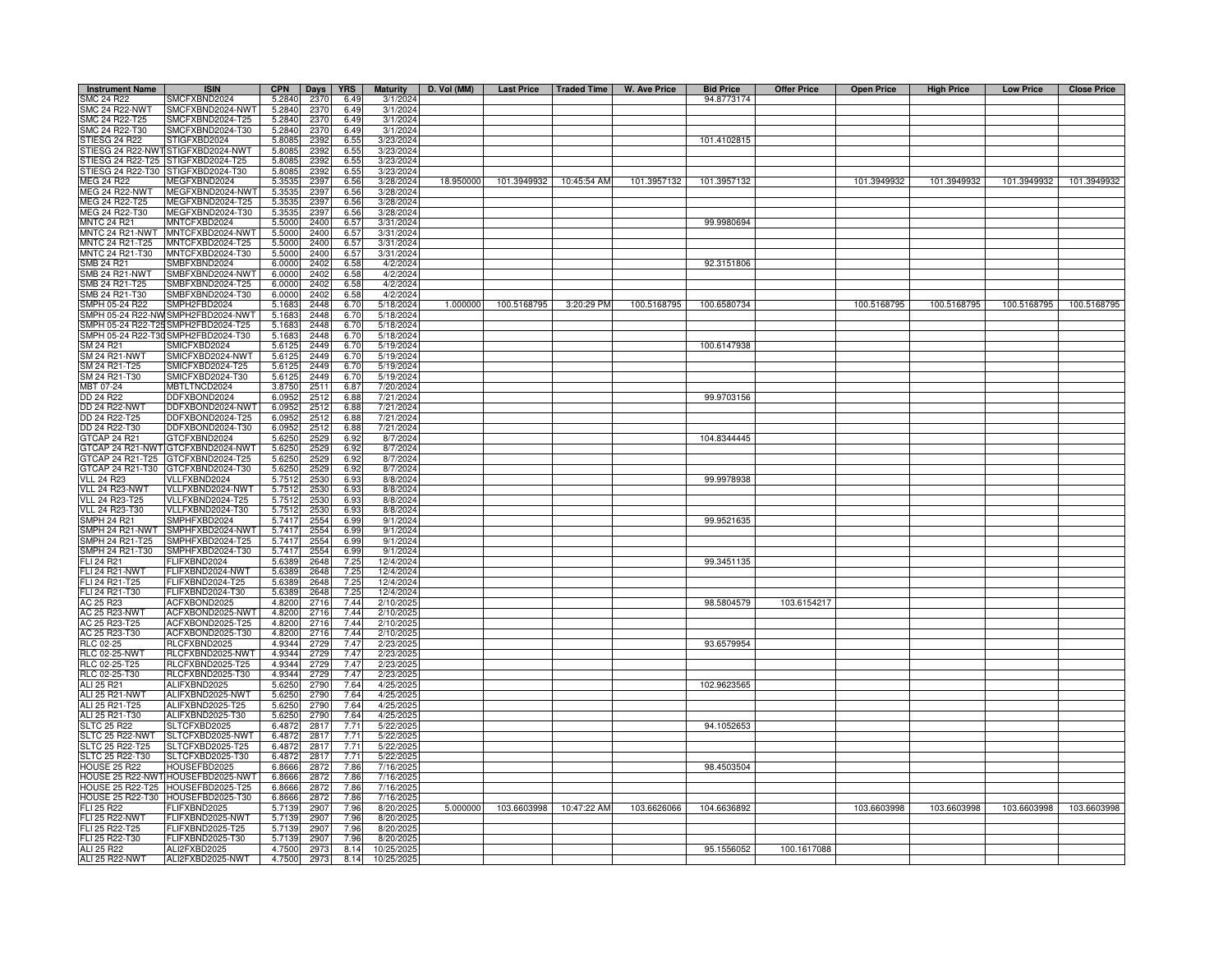| <b>Instrument Name</b>                                               | <b>ISIN</b>                          | <b>CPN</b>       | Days         | <b>YRS</b>   | <b>Maturity</b>        | D. Vol (MM) | <b>Last Price</b> | Traded Time | W. Ave Price | <b>Bid Price</b> | <b>Offer Price</b> | <b>Open Price</b> | <b>High Price</b> | <b>Low Price</b> | <b>Close Price</b> |
|----------------------------------------------------------------------|--------------------------------------|------------------|--------------|--------------|------------------------|-------------|-------------------|-------------|--------------|------------------|--------------------|-------------------|-------------------|------------------|--------------------|
| SMC 24 R22                                                           | SMCFXBND2024                         | 5.2840           | 2370         | 6.49         | 3/1/2024               |             |                   |             |              | 94.8773174       |                    |                   |                   |                  |                    |
| <b>SMC 24 R22-NWT</b>                                                | SMCFXBND2024-NWT                     | 5.2840           | 2370         | 6.49         | 3/1/2024               |             |                   |             |              |                  |                    |                   |                   |                  |                    |
| SMC 24 R22-T25                                                       | SMCFXBND2024-T25                     | 5.2840           | 2370         | 6.49         | 3/1/2024               |             |                   |             |              |                  |                    |                   |                   |                  |                    |
| SMC 24 R22-T30                                                       | SMCFXBND2024-T30                     | 5.2840           | 2370         | 6.49         | 3/1/2024               |             |                   |             |              |                  |                    |                   |                   |                  |                    |
| STIESG 24 R22                                                        | STIGFXBD2024                         | 5.8085           | 2392         | 6.55         | 3/23/2024              |             |                   |             |              | 101.4102815      |                    |                   |                   |                  |                    |
| TIESG 24 R22-NWT                                                     | STIGFXBD2024-NWT<br>STIGFXBD2024-T25 | 5.8085<br>5.8085 | 2392<br>239  | 6.55<br>6.55 | 3/23/2024<br>3/23/2024 |             |                   |             |              |                  |                    |                   |                   |                  |                    |
| TIESG 24 R22-T25<br>STIESG 24 R22-T30                                | STIGFXBD2024-T30                     | 5.8085           | 2392         | 6.55         | 3/23/2024              |             |                   |             |              |                  |                    |                   |                   |                  |                    |
| MEG 24 R22                                                           | MEGFXBND2024                         | 5.3535           | 2397         | 6.56         | 3/28/2024              | 18.950000   | 101.3949932       | 10:45:54 AM | 101.3957132  | 101.3957132      |                    | 101.3949932       | 101.3949932       | 101.3949932      | 101.3949932        |
| <b>MEG 24 R22-NWT</b>                                                | MEGFXBND2024-NWT                     | 5.3535           | 239          | 6.56         | 3/28/2024              |             |                   |             |              |                  |                    |                   |                   |                  |                    |
| MEG 24 R22-T25                                                       | MEGFXBND2024-T25                     | 5.3535           | 239          | 6.56         | 3/28/2024              |             |                   |             |              |                  |                    |                   |                   |                  |                    |
| MEG 24 R22-T30                                                       | MEGFXBND2024-T30                     | 5.3535           | 239          | 6.56         | 3/28/2024              |             |                   |             |              |                  |                    |                   |                   |                  |                    |
| <b>MNTC 24 R21</b>                                                   | MNTCFXBD2024                         | 5.5000           | 2400         | 6.57         | 3/31/2024              |             |                   |             |              | 99.9980694       |                    |                   |                   |                  |                    |
| MNTC 24 R21-NWT                                                      | MNTCFXBD2024-NWT                     | 5.5000           | 2400         | 6.57         | 3/31/2024              |             |                   |             |              |                  |                    |                   |                   |                  |                    |
| <b>INTC 24 R21-T25</b>                                               | MNTCFXBD2024-T25                     | 5.5000           | 2400         | 6.57         | 3/31/2024              |             |                   |             |              |                  |                    |                   |                   |                  |                    |
| MNTC 24 R21-T30                                                      | MNTCFXBD2024-T30                     | 5.5000           | 2400         | 6.57         | 3/31/2024              |             |                   |             |              |                  |                    |                   |                   |                  |                    |
| SMB 24 R21                                                           | SMBFXBND2024                         | 6.0000           | 2402         | 6.58         | 4/2/2024               |             |                   |             |              | 92.3151806       |                    |                   |                   |                  |                    |
| MB 24 R21-NWT                                                        | SMBFXBND2024-NWT                     | 6.0000           | 2402         | 6.58         | 4/2/2024               |             |                   |             |              |                  |                    |                   |                   |                  |                    |
| MB 24 R21-T25<br>MB 24 R21-T30                                       | SMBFXBND2024-T25<br>SMBFXBND2024-T30 | 6.0000<br>6.0000 | 2402<br>2402 | 6.58<br>6.58 | 4/2/2024<br>4/2/2024   |             |                   |             |              |                  |                    |                   |                   |                  |                    |
| MPH 05-24 R22                                                        | SMPH2FBD2024                         | 5.1683           | 2448         | 6.70         | 5/18/2024              | 1.000000    | 100.5168795       | 3:20:29 PM  | 100.5168795  | 100.6580734      |                    | 100.5168795       | 100.5168795       | 100.5168795      | 100.5168795        |
| MPH 05-24 R22-NV                                                     | SMPH2FBD2024-NWT                     | 5.1683           | 2448         | 6.70         | 5/18/2024              |             |                   |             |              |                  |                    |                   |                   |                  |                    |
| MPH 05-24 R22-T2                                                     | SMPH2FBD2024-T25                     | 5.1683           | 2448         | 6.70         | 5/18/2024              |             |                   |             |              |                  |                    |                   |                   |                  |                    |
| MPH 05-24 R22-T3                                                     | SMPH2FBD2024-T30                     | 5.1683           | 2448         | 6.70         | 5/18/2024              |             |                   |             |              |                  |                    |                   |                   |                  |                    |
| SM 24 R21                                                            | SMICFXBD2024                         | 5.6125           | 2449         | 6.70         | 5/19/2024              |             |                   |             |              | 100.6147938      |                    |                   |                   |                  |                    |
| <b>SM 24 R21-NWT</b>                                                 | SMICFXBD2024-NWT                     | 5.6125           | 2449         | 6.70         | 5/19/2024              |             |                   |             |              |                  |                    |                   |                   |                  |                    |
| SM 24 R21-T25                                                        | SMICFXBD2024-T25                     | 5.6125           | 2449         | 6.70         | 5/19/2024              |             |                   |             |              |                  |                    |                   |                   |                  |                    |
| SM 24 R21-T30                                                        | SMICFXBD2024-T30                     | 5.6125           | 2449         | 6.70         | 5/19/2024              |             |                   |             |              |                  |                    |                   |                   |                  |                    |
| MBT 07-24                                                            | MBTLTNCD2024                         | 3.8750           | 2511         | 6.87         | 7/20/2024              |             |                   |             |              |                  |                    |                   |                   |                  |                    |
| <b>DD 24 R22</b>                                                     | DDFXBOND2024                         | 6.095            | 2512         | 6.88         | 7/21/2024              |             |                   |             |              | 99.9703156       |                    |                   |                   |                  |                    |
| <b>DD 24 R22-NWT</b>                                                 | DDFXBOND2024-NWT                     | 6.095            | 2512         | 6.88         | 7/21/2024              |             |                   |             |              |                  |                    |                   |                   |                  |                    |
| DD 24 R22-T25                                                        | DDFXBOND2024-T25                     | 6.095            | 2512         | 6.88         | 7/21/2024              |             |                   |             |              |                  |                    |                   |                   |                  |                    |
| DD 24 R22-T30                                                        | DDFXBOND2024-T30<br>GTCFXBND2024     | 6.095            | 2512         | 6.88<br>6.92 | 7/21/2024<br>8/7/2024  |             |                   |             |              |                  |                    |                   |                   |                  |                    |
| GTCAP 24 R21<br>GTCAP 24 R21-NWT                                     | GTCFXBND2024-NWT                     | 5.6250<br>5.6250 | 2529<br>2529 | 6.92         | 8/7/2024               |             |                   |             |              | 104.8344445      |                    |                   |                   |                  |                    |
| GTCAP 24 R21-T25                                                     | GTCFXBND2024-T25                     | 5.6250           | 2529         | 6.92         | 8/7/2024               |             |                   |             |              |                  |                    |                   |                   |                  |                    |
| GTCAP 24 R21-T30                                                     | GTCFXBND2024-T30                     | 5.625            | 2529         | 6.92         | 8/7/2024               |             |                   |             |              |                  |                    |                   |                   |                  |                    |
| <b>VLL 24 R23</b>                                                    | VLLFXBND2024                         | 5.7512           | 2530         | 6.93         | 8/8/2024               |             |                   |             |              | 99.9978938       |                    |                   |                   |                  |                    |
| VLL 24 R23-NWT                                                       | VLLFXBND2024-NWT                     | 5.7512           | 2530         | 6.93         | 8/8/2024               |             |                   |             |              |                  |                    |                   |                   |                  |                    |
| <b>VLL 24 R23-T25</b>                                                | VLLFXBND2024-T25                     | 5.7512           | 2530         | 6.93         | 8/8/2024               |             |                   |             |              |                  |                    |                   |                   |                  |                    |
| VLL 24 R23-T30                                                       | VLLFXBND2024-T30                     | 5.7512           | 2530         | 6.93         | 8/8/2024               |             |                   |             |              |                  |                    |                   |                   |                  |                    |
| MPH 24 R21                                                           | SMPHFXBD2024                         | 5.7417           | 2554         | 6.99         | 9/1/2024               |             |                   |             |              | 99.9521635       |                    |                   |                   |                  |                    |
| MPH 24 R21-NWT                                                       | SMPHFXBD2024-NWT                     | 5.741            | 2554         | 6.99         | 9/1/2024               |             |                   |             |              |                  |                    |                   |                   |                  |                    |
| MPH 24 R21-T25                                                       | SMPHFXBD2024-T25                     | 5.741            | 2554         | 6.99         | 9/1/2024               |             |                   |             |              |                  |                    |                   |                   |                  |                    |
| MPH 24 R21-T30                                                       | SMPHFXBD2024-T30                     | 5.741            | 2554         | 6.99         | 9/1/2024               |             |                   |             |              |                  |                    |                   |                   |                  |                    |
| LI 24 R21<br>LI 24 R21-NWT                                           | FLIFXBND2024<br>FLIFXBND2024-NWT     | 5.6389<br>5.6389 | 2648<br>2648 | 7.25<br>7.25 | 12/4/2024<br>12/4/2024 |             |                   |             |              | 99.3451135       |                    |                   |                   |                  |                    |
| FLI 24 R21-T25                                                       | FLIFXBND2024-T25                     | 5.6389           | 2648         | 7.25         | 12/4/2024              |             |                   |             |              |                  |                    |                   |                   |                  |                    |
| FLI 24 R21-T30                                                       | FLIFXBND2024-T30                     | 5.6389           | 2648         | 7.25         | 12/4/2024              |             |                   |             |              |                  |                    |                   |                   |                  |                    |
| AC 25 R23                                                            | ACFXBOND2025                         | 4.8200           | 2716         | 7.44         | 2/10/2025              |             |                   |             |              | 98.5804579       | 103.6154217        |                   |                   |                  |                    |
| <b>AC 25 R23-NWT</b>                                                 | ACFXBOND2025-NWT                     | 4.8200           | 2716         | 7.44         | 2/10/2025              |             |                   |             |              |                  |                    |                   |                   |                  |                    |
| AC 25 R23-T25                                                        | ACFXBOND2025-T25                     | 4.8200           | 2716         | 7.44         | 2/10/2025              |             |                   |             |              |                  |                    |                   |                   |                  |                    |
| AC 25 R23-T30                                                        | ACFXBOND2025-T30                     | 4.8200           | 2716         | 7.44         | 2/10/2025              |             |                   |             |              |                  |                    |                   |                   |                  |                    |
| <b>RLC 02-25</b>                                                     | RLCFXBND2025                         | 4.9344           | 2729         | 7.47         | 2/23/2025              |             |                   |             |              | 93.6579954       |                    |                   |                   |                  |                    |
| <b>RLC 02-25-NWT</b>                                                 | RLCFXBND2025-NWT                     | 4.9344           | 2729         | 7.47         | 2/23/2025              |             |                   |             |              |                  |                    |                   |                   |                  |                    |
| RLC 02-25-T25                                                        | RLCFXBND2025-T25                     | 4.9344           | 2729         | 7.47         | 2/23/2025              |             |                   |             |              |                  |                    |                   |                   |                  |                    |
| RLC 02-25-T30<br>ALI 25 R21                                          | RLCFXBND2025-T30                     | 4.9344           | 2729         | 7.47<br>7.64 | 2/23/202               |             |                   |             |              | 102.9623565      |                    |                   |                   |                  |                    |
| ALI 25 R21-NWT                                                       | ALIFXBND2025<br>ALIFXBND2025-NWT     | 5.6250<br>5.6250 | 2790<br>2790 | 7.64         | 4/25/2025<br>4/25/2025 |             |                   |             |              |                  |                    |                   |                   |                  |                    |
| ALI 25 R21-T25                                                       | ALIFXBND2025-T25                     | 5.6250           | 2790         | 7.64         | 4/25/2025              |             |                   |             |              |                  |                    |                   |                   |                  |                    |
| ALI 25 R21-T30                                                       | ALIFXBND2025-T30                     | 5.6250           | 2790         | 7.64         | 4/25/2025              |             |                   |             |              |                  |                    |                   |                   |                  |                    |
|                                                                      | SLTCFXBD2025                         | 6.4872           | 281          | 7.71         | 5/22/2025              |             |                   |             |              | 94.1052653       |                    |                   |                   |                  |                    |
|                                                                      | SLTCFXBD2025-NWT                     | 6.4872           | 281          | 7.71         | 5/22/2025              |             |                   |             |              |                  |                    |                   |                   |                  |                    |
| SLTC 25 R22<br>SLTC 25 R22-NWT<br>SLTC 25 R22-T25<br>SLTC 25 R22-T30 | SLTCFXBD2025-T25                     | 6.4872           | 281          | 7.71         | 5/22/2025              |             |                   |             |              |                  |                    |                   |                   |                  |                    |
|                                                                      | SLTCFXBD2025-T30                     | 6.4872           | 2817         | 7.71         | 5/22/2025              |             |                   |             |              |                  |                    |                   |                   |                  |                    |
| <b>HOUSE 25 R22</b>                                                  | HOUSEFBD2025                         | 6.8666           | 2872         | 7.86         | 7/16/2025              |             |                   |             |              | 98.4503504       |                    |                   |                   |                  |                    |
|                                                                      | HOUSE 25 R22-NWT HOUSEFBD2025-NWT    | 6.8666           | 2872         | 7.86         | 7/16/2025              |             |                   |             |              |                  |                    |                   |                   |                  |                    |
| HOUSE 25 R22-T25                                                     | HOUSEFBD2025-T25                     | 6.8666           | 2872         | 7.86         | 7/16/2025              |             |                   |             |              |                  |                    |                   |                   |                  |                    |
|                                                                      | HOUSE 25 R22-T30 HOUSEFBD2025-T30    | 6.8666           | 2872         | 7.86         | 7/16/2025              |             |                   |             |              |                  |                    |                   |                   |                  |                    |
| FLI 25 R22                                                           | FLIFXBND2025                         | 5.7139           | 2907         | 7.96         | 8/20/2025              | 5.000000    | 103.6603998       | 10:47:22 AM | 103.6626066  | 104.6636892      |                    | 103.6603998       | 103.6603998       | 103.6603998      | 103.6603998        |
| <b>FLI 25 R22-NWT</b><br>LI 25 R22-T25                               | FLIFXBND2025-NWT<br>FLIFXBND2025-T25 | 5.7139<br>5.7139 | 2907<br>290  | 7.96<br>7.96 | 8/20/2025<br>8/20/2025 |             |                   |             |              |                  |                    |                   |                   |                  |                    |
| FLI 25 R22-T30                                                       | FLIFXBND2025-T30                     | 5.7139           | 290          | 7.96         | 8/20/2025              |             |                   |             |              |                  |                    |                   |                   |                  |                    |
| ALI 25 R22                                                           | ALI2FXBD2025                         | 4.7500           | 297          | 8.14         | 10/25/202              |             |                   |             |              | 95.1556052       | 100.1617088        |                   |                   |                  |                    |
| ALI 25 R22-NWT                                                       | ALI2FXBD2025-NWT                     | 4.7500           | 2973         | 8.14         | 10/25/2025             |             |                   |             |              |                  |                    |                   |                   |                  |                    |
|                                                                      |                                      |                  |              |              |                        |             |                   |             |              |                  |                    |                   |                   |                  |                    |